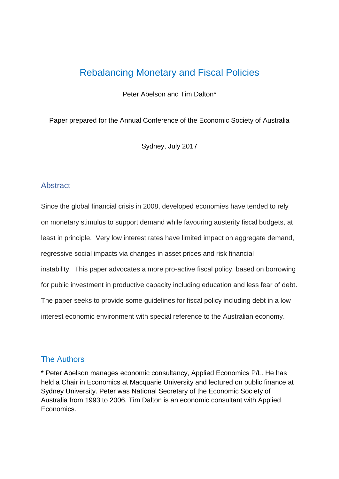## Rebalancing Monetary and Fiscal Policies

Peter Abelson and Tim Dalton\*

Paper prepared for the Annual Conference of the Economic Society of Australia

Sydney, July 2017

### Abstract

Since the global financial crisis in 2008, developed economies have tended to rely on monetary stimulus to support demand while favouring austerity fiscal budgets, at least in principle. Very low interest rates have limited impact on aggregate demand, regressive social impacts via changes in asset prices and risk financial instability. This paper advocates a more pro-active fiscal policy, based on borrowing for public investment in productive capacity including education and less fear of debt. The paper seeks to provide some guidelines for fiscal policy including debt in a low interest economic environment with special reference to the Australian economy.

### The Authors

\* Peter Abelson manages economic consultancy, Applied Economics P/L. He has held a Chair in Economics at Macquarie University and lectured on public finance at Sydney University. Peter was National Secretary of the Economic Society of Australia from 1993 to 2006. Tim Dalton is an economic consultant with Applied Economics.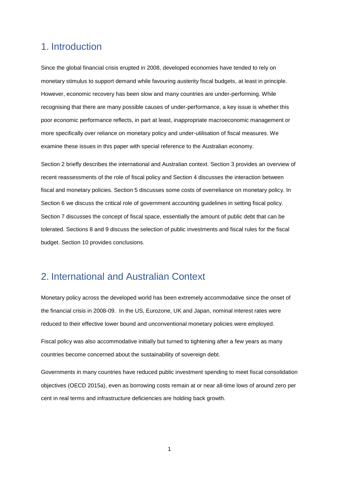### 1. Introduction

Since the global financial crisis erupted in 2008, developed economies have tended to rely on monetary stimulus to support demand while favouring austerity fiscal budgets, at least in principle. However, economic recovery has been slow and many countries are under-performing. While recognising that there are many possible causes of under-performance, a key issue is whether this poor economic performance reflects, in part at least, inappropriate macroeconomic management or more specifically over reliance on monetary policy and under-utilisation of fiscal measures. We examine these issues in this paper with special reference to the Australian economy.

Section 2 briefly describes the international and Australian context. Section 3 provides an overview of recent reassessments of the role of fiscal policy and Section 4 discusses the interaction between fiscal and monetary policies. Section 5 discusses some costs of overreliance on monetary policy. In Section 6 we discuss the critical role of government accounting guidelines in setting fiscal policy. Section 7 discusses the concept of fiscal space, essentially the amount of public debt that can be tolerated. Sections 8 and 9 discuss the selection of public investments and fiscal rules for the fiscal budget. Section 10 provides conclusions.

### 2. International and Australian Context

Monetary policy across the developed world has been extremely accommodative since the onset of the financial crisis in 2008-09. In the US, Eurozone, UK and Japan, nominal interest rates were reduced to their effective lower bound and unconventional monetary policies were employed.

Fiscal policy was also accommodative initially but turned to tightening after a few years as many countries become concerned about the sustainability of sovereign debt.

Governments in many countries have reduced public investment spending to meet fiscal consolidation objectives (OECD 2015a), even as borrowing costs remain at or near all-time lows of around zero per cent in real terms and infrastructure deficiencies are holding back growth.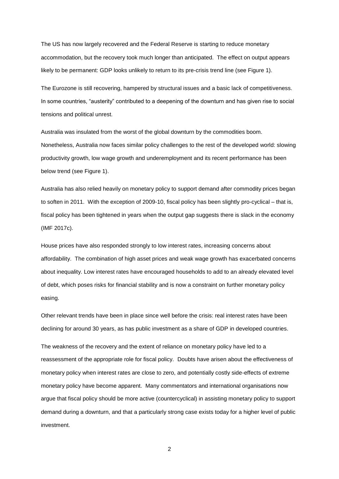The US has now largely recovered and the Federal Reserve is starting to reduce monetary accommodation, but the recovery took much longer than anticipated. The effect on output appears likely to be permanent: GDP looks unlikely to return to its pre-crisis trend line (see Figure 1).

The Eurozone is still recovering, hampered by structural issues and a basic lack of competitiveness. In some countries, "austerity" contributed to a deepening of the downturn and has given rise to social tensions and political unrest.

Australia was insulated from the worst of the global downturn by the commodities boom. Nonetheless, Australia now faces similar policy challenges to the rest of the developed world: slowing productivity growth, low wage growth and underemployment and its recent performance has been below trend (see Figure 1).

Australia has also relied heavily on monetary policy to support demand after commodity prices began to soften in 2011. With the exception of 2009-10, fiscal policy has been slightly pro-cyclical – that is, fiscal policy has been tightened in years when the output gap suggests there is slack in the economy (IMF 2017c).

House prices have also responded strongly to low interest rates, increasing concerns about affordability. The combination of high asset prices and weak wage growth has exacerbated concerns about inequality. Low interest rates have encouraged households to add to an already elevated level of debt, which poses risks for financial stability and is now a constraint on further monetary policy easing.

Other relevant trends have been in place since well before the crisis: real interest rates have been declining for around 30 years, as has public investment as a share of GDP in developed countries.

The weakness of the recovery and the extent of reliance on monetary policy have led to a reassessment of the appropriate role for fiscal policy. Doubts have arisen about the effectiveness of monetary policy when interest rates are close to zero, and potentially costly side-effects of extreme monetary policy have become apparent. Many commentators and international organisations now argue that fiscal policy should be more active (countercyclical) in assisting monetary policy to support demand during a downturn, and that a particularly strong case exists today for a higher level of public investment.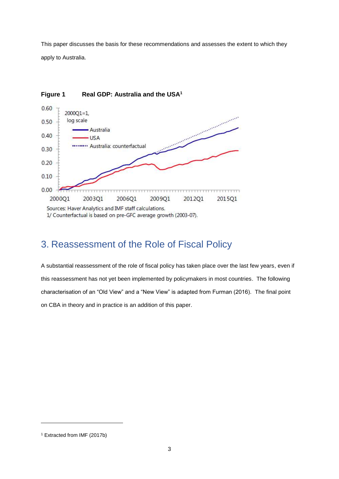This paper discusses the basis for these recommendations and assesses the extent to which they apply to Australia.



### **Figure 1 Real GDP: Australia and the USA<sup>1</sup>**

## 3. Reassessment of the Role of Fiscal Policy

A substantial reassessment of the role of fiscal policy has taken place over the last few years, even if this reassessment has not yet been implemented by policymakers in most countries. The following characterisation of an "Old View" and a "New View" is adapted from Furman (2016). The final point on CBA in theory and in practice is an addition of this paper.

-

<sup>1</sup> Extracted from IMF (2017b)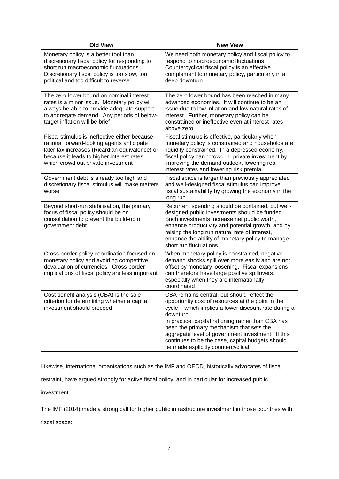| <b>Old View</b>                                                                                                                                                                                                                  | <b>New View</b>                                                                                                                                                                                                                                                                                                                                                                                                        |  |  |  |
|----------------------------------------------------------------------------------------------------------------------------------------------------------------------------------------------------------------------------------|------------------------------------------------------------------------------------------------------------------------------------------------------------------------------------------------------------------------------------------------------------------------------------------------------------------------------------------------------------------------------------------------------------------------|--|--|--|
| Monetary policy is a better tool than<br>discretionary fiscal policy for responding to<br>short run macroeconomic fluctuations.<br>Discretionary fiscal policy is too slow, too<br>political and too difficult to reverse        | We need both monetary policy and fiscal policy to<br>respond to macroeconomic fluctuations.<br>Countercyclical fiscal policy is an effective<br>complement to monetary policy, particularly in a<br>deep downturn                                                                                                                                                                                                      |  |  |  |
| The zero lower bound on nominal interest<br>rates is a minor issue. Monetary policy will<br>always be able to provide adequate support<br>to aggregate demand. Any periods of below-<br>target inflation will be brief           | The zero lower bound has been reached in many<br>advanced economies. It will continue to be an<br>issue due to low inflation and low natural rates of<br>interest. Further, monetary policy can be<br>constrained or ineffective even at interest rates<br>above zero                                                                                                                                                  |  |  |  |
| Fiscal stimulus is ineffective either because<br>rational forward-looking agents anticipate<br>later tax increases (Ricardian equivalence) or<br>because it leads to higher interest rates<br>which crowd out private investment | Fiscal stimulus is effective, particularly when<br>monetary policy is constrained and households are<br>liquidity constrained. In a depressed economy,<br>fiscal policy can "crowd in" private investment by<br>improving the demand outlook, lowering real<br>interest rates and lowering risk premia                                                                                                                 |  |  |  |
| Government debt is already too high and<br>discretionary fiscal stimulus will make matters<br>worse                                                                                                                              | Fiscal space is larger than previously appreciated<br>and well-designed fiscal stimulus can improve<br>fiscal sustainability by growing the economy in the<br>long run                                                                                                                                                                                                                                                 |  |  |  |
| Beyond short-run stabilisation, the primary<br>focus of fiscal policy should be on<br>consolidation to prevent the build-up of<br>government debt                                                                                | Recurrent spending should be contained, but well-<br>designed public investments should be funded.<br>Such investments increase net public worth,<br>enhance productivity and potential growth, and by<br>raising the long run natural rate of interest,<br>enhance the ability of monetary policy to manage<br>short run fluctuations                                                                                 |  |  |  |
| Cross border policy coordination focused on<br>monetary policy and avoiding competitive<br>devaluation of currencies. Cross border<br>implications of fiscal policy are less important                                           | When monetary policy is constrained, negative<br>demand shocks spill over more easily and are not<br>offset by monetary loosening. Fiscal expansions<br>can therefore have large positive spillovers,<br>especially when they are internationally<br>coordinated                                                                                                                                                       |  |  |  |
| Cost benefit analysis (CBA) is the sole<br>criterion for determining whether a capital<br>investment should proceed                                                                                                              | CBA remains central, but should reflect the<br>opportunity cost of resources at the point in the<br>cycle - which implies a lower discount rate during a<br>downturn.<br>In practice, capital rationing rather than CBA has<br>been the primary mechanism that sets the<br>aggregate level of government investment. If this<br>continues to be the case, capital budgets should<br>be made explicitly countercyclical |  |  |  |

Likewise, international organisations such as the IMF and OECD, historically advocates of fiscal

restraint, have argued strongly for active fiscal policy, and in particular for increased public

investment.

The IMF (2014) made a strong call for higher public infrastructure investment in those countries with fiscal space: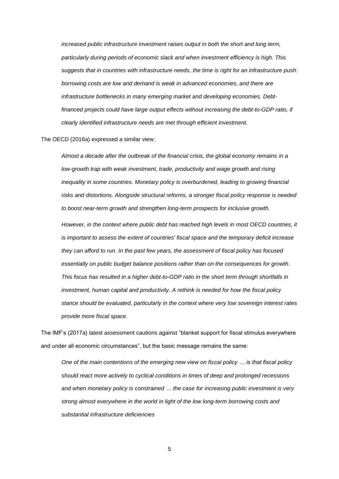*increased public infrastructure investment raises output in both the short and long term, particularly during periods of economic slack and when investment efficiency is high. This suggests that in countries with infrastructure needs, the time is right for an infrastructure push: borrowing costs are low and demand is weak in advanced economies, and there are infrastructure bottlenecks in many emerging market and developing economies. Debtfinanced projects could have large output effects without increasing the debt-to-GDP ratio, if clearly identified infrastructure needs are met through efficient investment.*

#### The OECD (2016a) expressed a similar view:

*Almost a decade after the outbreak of the financial crisis, the global economy remains in a low-growth trap with weak investment, trade, productivity and wage growth and rising inequality in some countries. Monetary policy is overburdened, leading to growing financial risks and distortions. Alongside structural reforms, a stronger fiscal policy response is needed to boost near-term growth and strengthen long-term prospects for inclusive growth.*

*However, in the context where public debt has reached high levels in most OECD countries, it is important to assess the extent of countries' fiscal space and the temporary deficit increase they can afford to run. In the past few years, the assessment of fiscal policy has focused essentially on public budget balance positions rather than on the consequences for growth. This focus has resulted in a higher debt-to-GDP ratio in the short term through shortfalls in investment, human capital and productivity. A rethink is needed for how the fiscal policy stance should be evaluated, particularly in the context where very low sovereign interest rates provide more fiscal space.*

The IMF's (2017a) latest assessment cautions against "blanket support for fiscal stimulus everywhere and under all economic circumstances", but the basic message remains the same:

*One of the main contentions of the emerging new view on fiscal policy … is that fiscal policy should react more actively to cyclical conditions in times of deep and prolonged recessions and when monetary policy is constrained … the case for increasing public investment is very strong almost everywhere in the world in light of the low long-term borrowing costs and substantial infrastructure deficiencies*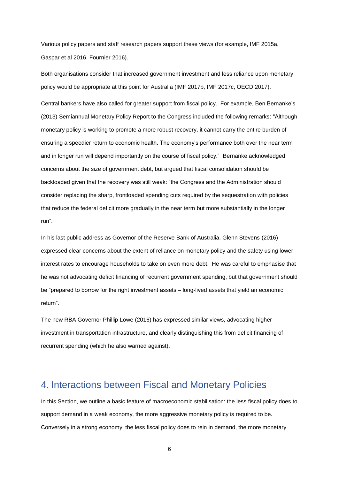Various policy papers and staff research papers support these views (for example, IMF 2015a, Gaspar et al 2016, Fournier 2016).

Both organisations consider that increased government investment and less reliance upon monetary policy would be appropriate at this point for Australia (IMF 2017b, IMF 2017c, OECD 2017).

Central bankers have also called for greater support from fiscal policy. For example, Ben Bernanke's (2013) Semiannual Monetary Policy Report to the Congress included the following remarks: "Although monetary policy is working to promote a more robust recovery, it cannot carry the entire burden of ensuring a speedier return to economic health. The economy's performance both over the near term and in longer run will depend importantly on the course of fiscal policy." Bernanke acknowledged concerns about the size of government debt, but argued that fiscal consolidation should be backloaded given that the recovery was still weak: "the Congress and the Administration should consider replacing the sharp, frontloaded spending cuts required by the sequestration with policies that reduce the federal deficit more gradually in the near term but more substantially in the longer run".

In his last public address as Governor of the Reserve Bank of Australia, Glenn Stevens (2016) expressed clear concerns about the extent of reliance on monetary policy and the safety using lower interest rates to encourage households to take on even more debt. He was careful to emphasise that he was not advocating deficit financing of recurrent government spending, but that government should be "prepared to borrow for the right investment assets – long-lived assets that yield an economic return".

The new RBA Governor Phillip Lowe (2016) has expressed similar views, advocating higher investment in transportation infrastructure, and clearly distinguishing this from deficit financing of recurrent spending (which he also warned against).

### 4. Interactions between Fiscal and Monetary Policies

In this Section, we outline a basic feature of macroeconomic stabilisation: the less fiscal policy does to support demand in a weak economy, the more aggressive monetary policy is required to be. Conversely in a strong economy, the less fiscal policy does to rein in demand, the more monetary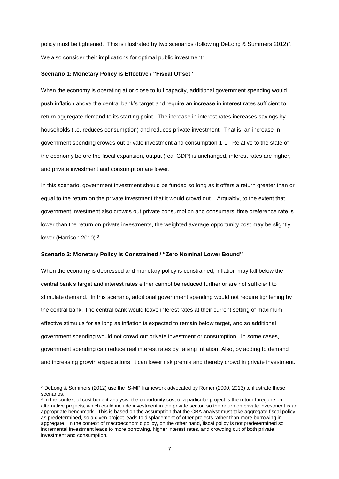policy must be tightened. This is illustrated by two scenarios (following DeLong & Summers 2012)<sup>2</sup>. We also consider their implications for optimal public investment:

#### **Scenario 1: Monetary Policy is Effective / "Fiscal Offset"**

When the economy is operating at or close to full capacity, additional government spending would push inflation above the central bank's target and require an increase in interest rates sufficient to return aggregate demand to its starting point. The increase in interest rates increases savings by households (i.e. reduces consumption) and reduces private investment. That is, an increase in government spending crowds out private investment and consumption 1-1. Relative to the state of the economy before the fiscal expansion, output (real GDP) is unchanged, interest rates are higher, and private investment and consumption are lower.

In this scenario, government investment should be funded so long as it offers a return greater than or equal to the return on the private investment that it would crowd out. Arguably, to the extent that government investment also crowds out private consumption and consumers' time preference rate is lower than the return on private investments, the weighted average opportunity cost may be slightly lower (Harrison 2010).<sup>3</sup>

#### **Scenario 2: Monetary Policy is Constrained / "Zero Nominal Lower Bound"**

When the economy is depressed and monetary policy is constrained, inflation may fall below the central bank's target and interest rates either cannot be reduced further or are not sufficient to stimulate demand. In this scenario, additional government spending would not require tightening by the central bank. The central bank would leave interest rates at their current setting of maximum effective stimulus for as long as inflation is expected to remain below target, and so additional government spending would not crowd out private investment or consumption. In some cases, government spending can reduce real interest rates by raising inflation. Also, by adding to demand and increasing growth expectations, it can lower risk premia and thereby crowd in private investment.

<sup>2</sup> DeLong & Summers (2012) use the IS-MP framework advocated by Romer (2000, 2013) to illustrate these scenarios.

<sup>&</sup>lt;sup>3</sup> In the context of cost benefit analysis, the opportunity cost of a particular project is the return foregone on alternative projects, which could include investment in the private sector, so the return on private investment is an appropriate benchmark. This is based on the assumption that the CBA analyst must take aggregate fiscal policy as predetermined, so a given project leads to displacement of other projects rather than more borrowing in aggregate. In the context of macroeconomic policy, on the other hand, fiscal policy is not predetermined so incremental investment leads to more borrowing, higher interest rates, and crowding out of both private investment and consumption.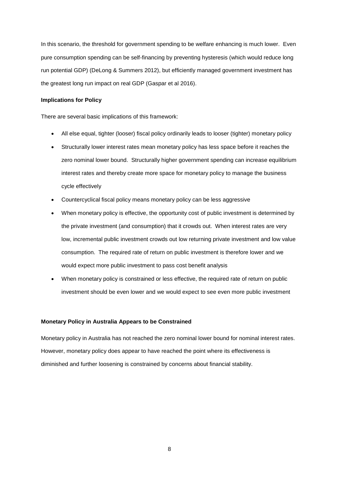In this scenario, the threshold for government spending to be welfare enhancing is much lower. Even pure consumption spending can be self-financing by preventing hysteresis (which would reduce long run potential GDP) (DeLong & Summers 2012), but efficiently managed government investment has the greatest long run impact on real GDP (Gaspar et al 2016).

#### **Implications for Policy**

There are several basic implications of this framework:

- All else equal, tighter (looser) fiscal policy ordinarily leads to looser (tighter) monetary policy
- Structurally lower interest rates mean monetary policy has less space before it reaches the zero nominal lower bound. Structurally higher government spending can increase equilibrium interest rates and thereby create more space for monetary policy to manage the business cycle effectively
- Countercyclical fiscal policy means monetary policy can be less aggressive
- When monetary policy is effective, the opportunity cost of public investment is determined by the private investment (and consumption) that it crowds out. When interest rates are very low, incremental public investment crowds out low returning private investment and low value consumption. The required rate of return on public investment is therefore lower and we would expect more public investment to pass cost benefit analysis
- When monetary policy is constrained or less effective, the required rate of return on public investment should be even lower and we would expect to see even more public investment

#### **Monetary Policy in Australia Appears to be Constrained**

Monetary policy in Australia has not reached the zero nominal lower bound for nominal interest rates. However, monetary policy does appear to have reached the point where its effectiveness is diminished and further loosening is constrained by concerns about financial stability.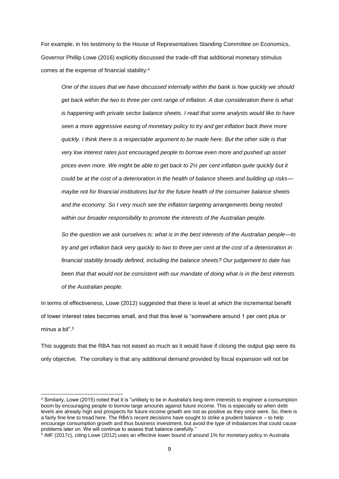For example, in his testimony to the House of Representatives Standing Committee on Economics, Governor Phillip Lowe (2016) explicitly discussed the trade-off that additional monetary stimulus comes at the expense of financial stability:<sup>4</sup>

*One of the issues that we have discussed internally within the bank is how quickly we should get back within the two to three per cent range of inflation. A due consideration there is what is happening with private sector balance sheets. I read that some analysts would like to have seen a more aggressive easing of monetary policy to try and get inflation back there more quickly. I think there is a respectable argument to be made here. But the other side is that very low interest rates just encouraged people to borrow even more and pushed up asset prices even more. We might be able to get back to 2½ per cent inflation quite quickly but it could be at the cost of a deterioration in the health of balance sheets and building up risks maybe not for financial institutions but for the future health of the consumer balance sheets and the economy. So I very much see the inflation targeting arrangements being nested within our broader responsibility to promote the interests of the Australian people.*

*So the question we ask ourselves is: what is in the best interests of the Australian people—to try and get inflation back very quickly to two to three per cent at the cost of a deterioration in financial stability broadly defined, including the balance sheets? Our judgement to date has been that that would not be consistent with our mandate of doing what is in the best interests of the Australian people.*

In terms of effectiveness, Lowe (2012) suggested that there is level at which the incremental benefit of lower interest rates becomes small, and that this level is "somewhere around 1 per cent plus or minus a bit".<sup>5</sup>

This suggests that the RBA has not eased as much as it would have if closing the output gap were its only objective. The corollary is that any additional demand provided by fiscal expansion will not be

<sup>4</sup> Similarly, Lowe (2015) noted that it is "unlikely to be in Australia's long-term interests to engineer a consumption boom by encouraging people to borrow large amounts against future income. This is especially so when debt levels are already high and prospects for future income growth are not as positive as they once were. So, there is a fairly fine line to tread here. The RBA's recent decisions have sought to strike a prudent balance – to help encourage consumption growth and thus business investment, but avoid the type of imbalances that could cause problems later on. We will continue to assess that balance carefully."

<sup>5</sup> IMF (2017c), citing Lowe (2012) uses an effective lower bound of around 1% for monetary policy in Australia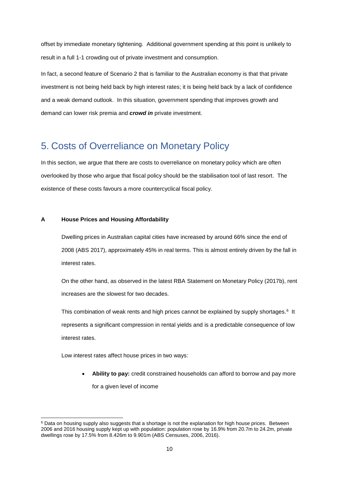offset by immediate monetary tightening. Additional government spending at this point is unlikely to result in a full 1-1 crowding out of private investment and consumption.

In fact, a second feature of Scenario 2 that is familiar to the Australian economy is that that private investment is not being held back by high interest rates; it is being held back by a lack of confidence and a weak demand outlook. In this situation, government spending that improves growth and demand can lower risk premia and *crowd in* private investment.

### 5. Costs of Overreliance on Monetary Policy

In this section, we argue that there are costs to overreliance on monetary policy which are often overlooked by those who argue that fiscal policy should be the stabilisation tool of last resort. The existence of these costs favours a more countercyclical fiscal policy.

### **A House Prices and Housing Affordability**

Dwelling prices in Australian capital cities have increased by around 66% since the end of 2008 (ABS 2017), approximately 45% in real terms. This is almost entirely driven by the fall in interest rates.

On the other hand, as observed in the latest RBA Statement on Monetary Policy (2017b), rent increases are the slowest for two decades.

This combination of weak rents and high prices cannot be explained by supply shortages.<sup>6</sup> It represents a significant compression in rental yields and is a predictable consequence of low interest rates.

Low interest rates affect house prices in two ways:

1

• **Ability to pay:** credit constrained households can afford to borrow and pay more for a given level of income

<sup>&</sup>lt;sup>6</sup> Data on housing supply also suggests that a shortage is not the explanation for high house prices. Between 2006 and 2016 housing supply kept up with population: population rose by 16.9% from 20.7m to 24.2m, private dwellings rose by 17.5% from 8.426m to 9.901m (ABS Censuses, 2006, 2016).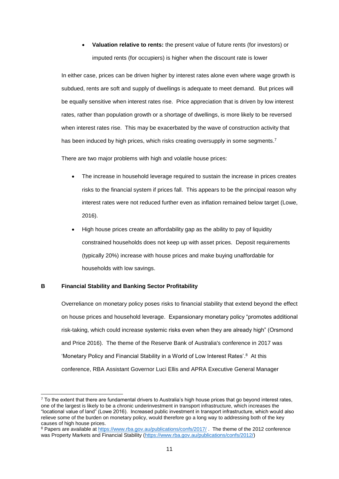• **Valuation relative to rents:** the present value of future rents (for investors) or imputed rents (for occupiers) is higher when the discount rate is lower

In either case, prices can be driven higher by interest rates alone even where wage growth is subdued, rents are soft and supply of dwellings is adequate to meet demand. But prices will be equally sensitive when interest rates rise. Price appreciation that is driven by low interest rates, rather than population growth or a shortage of dwellings, is more likely to be reversed when interest rates rise. This may be exacerbated by the wave of construction activity that has been induced by high prices, which risks creating oversupply in some segments.<sup>7</sup>

There are two major problems with high and volatile house prices:

- The increase in household leverage required to sustain the increase in prices creates risks to the financial system if prices fall. This appears to be the principal reason why interest rates were not reduced further even as inflation remained below target (Lowe, 2016).
- High house prices create an affordability gap as the ability to pay of liquidity constrained households does not keep up with asset prices. Deposit requirements (typically 20%) increase with house prices and make buying unaffordable for households with low savings.

### **B Financial Stability and Banking Sector Profitability**

1

Overreliance on monetary policy poses risks to financial stability that extend beyond the effect on house prices and household leverage. Expansionary monetary policy "promotes additional risk-taking, which could increase systemic risks even when they are already high" (Orsmond and Price 2016). The theme of the Reserve Bank of Australia's conference in 2017 was 'Monetary Policy and Financial Stability in a World of Low Interest Rates'.<sup>8</sup> At this conference, RBA Assistant Governor Luci Ellis and APRA Executive General Manager

 $7$  To the extent that there are fundamental drivers to Australia's high house prices that go beyond interest rates, one of the largest is likely to be a chronic underinvestment in transport infrastructure, which increases the "locational value of land" (Lowe 2016). Increased public investment in transport infrastructure, which would also relieve some of the burden on monetary policy, would therefore go a long way to addressing both of the key causes of high house prices.

<sup>8</sup> Papers are available at<https://www.rba.gov.au/publications/confs/2017/> . The theme of the 2012 conference was Property Markets and Financial Stability [\(https://www.rba.gov.au/publications/confs/2012/\)](https://www.rba.gov.au/publications/confs/2012/)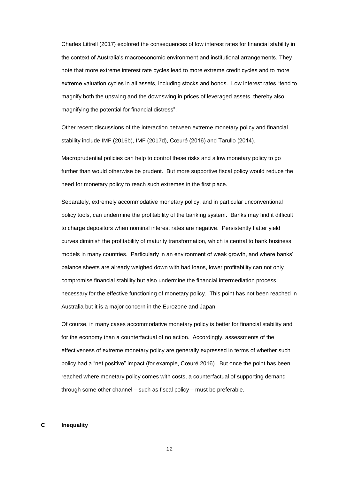Charles Littrell (2017) explored the consequences of low interest rates for financial stability in the context of Australia's macroeconomic environment and institutional arrangements. They note that more extreme interest rate cycles lead to more extreme credit cycles and to more extreme valuation cycles in all assets, including stocks and bonds. Low interest rates "tend to magnify both the upswing and the downswing in prices of leveraged assets, thereby also magnifying the potential for financial distress".

Other recent discussions of the interaction between extreme monetary policy and financial stability include IMF (2016b), IMF (2017d), Cœuré (2016) and Tarullo (2014).

Macroprudential policies can help to control these risks and allow monetary policy to go further than would otherwise be prudent. But more supportive fiscal policy would reduce the need for monetary policy to reach such extremes in the first place.

Separately, extremely accommodative monetary policy, and in particular unconventional policy tools, can undermine the profitability of the banking system. Banks may find it difficult to charge depositors when nominal interest rates are negative. Persistently flatter yield curves diminish the profitability of maturity transformation, which is central to bank business models in many countries. Particularly in an environment of weak growth, and where banks' balance sheets are already weighed down with bad loans, lower profitability can not only compromise financial stability but also undermine the financial intermediation process necessary for the effective functioning of monetary policy. This point has not been reached in Australia but it is a major concern in the Eurozone and Japan.

Of course, in many cases accommodative monetary policy is better for financial stability and for the economy than a counterfactual of no action. Accordingly, assessments of the effectiveness of extreme monetary policy are generally expressed in terms of whether such policy had a "net positive" impact (for example, Cœuré 2016). But once the point has been reached where monetary policy comes with costs, a counterfactual of supporting demand through some other channel – such as fiscal policy – must be preferable.

### **C Inequality**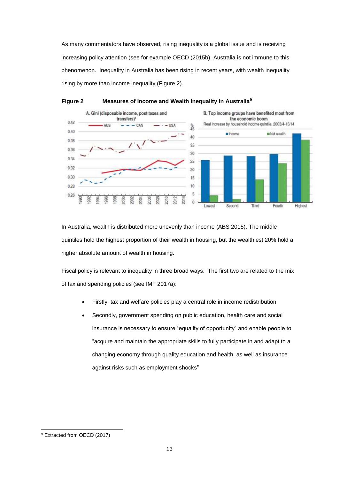As many commentators have observed, rising inequality is a global issue and is receiving increasing policy attention (see for example OECD (2015b). Australia is not immune to this phenomenon. Inequality in Australia has been rising in recent years, with wealth inequality rising by more than income inequality (Figure 2).



### **Figure 2 Measures of Income and Wealth Inequality in Australia<sup>9</sup>**

In Australia, wealth is distributed more unevenly than income (ABS 2015). The middle quintiles hold the highest proportion of their wealth in housing, but the wealthiest 20% hold a higher absolute amount of wealth in housing.

Fiscal policy is relevant to inequality in three broad ways. The first two are related to the mix of tax and spending policies (see IMF 2017a):

- Firstly, tax and welfare policies play a central role in income redistribution
- Secondly, government spending on public education, health care and social insurance is necessary to ensure "equality of opportunity" and enable people to "acquire and maintain the appropriate skills to fully participate in and adapt to a changing economy through quality education and health, as well as insurance against risks such as employment shocks"

-

<sup>9</sup> Extracted from OECD (2017)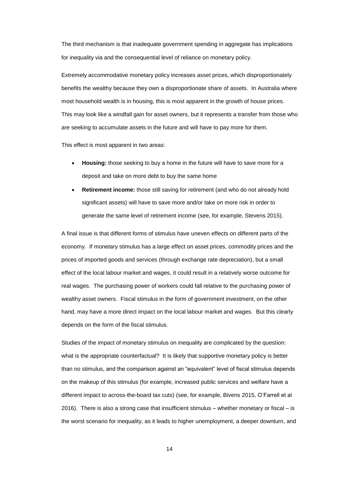The third mechanism is that inadequate government spending in aggregate has implications for inequality via and the consequential level of reliance on monetary policy.

Extremely accommodative monetary policy increases asset prices, which disproportionately benefits the wealthy because they own a disproportionate share of assets. In Australia where most household wealth is in housing, this is most apparent in the growth of house prices. This may look like a windfall gain for asset owners, but it represents a transfer from those who are seeking to accumulate assets in the future and will have to pay more for them.

This effect is most apparent in two areas:

- **Housing:** those seeking to buy a home in the future will have to save more for a deposit and take on more debt to buy the same home
- **Retirement income:** those still saving for retirement (and who do not already hold significant assets) will have to save more and/or take on more risk in order to generate the same level of retirement income (see, for example, Stevens 2015).

A final issue is that different forms of stimulus have uneven effects on different parts of the economy. If monetary stimulus has a large effect on asset prices, commodity prices and the prices of imported goods and services (through exchange rate depreciation), but a small effect of the local labour market and wages, it could result in a relatively worse outcome for real wages. The purchasing power of workers could fall relative to the purchasing power of wealthy asset owners. Fiscal stimulus in the form of government investment, on the other hand, may have a more direct impact on the local labour market and wages. But this clearly depends on the form of the fiscal stimulus.

Studies of the impact of monetary stimulus on inequality are complicated by the question: what is the appropriate counterfactual? It is likely that supportive monetary policy is better than no stimulus, and the comparison against an "equivalent" level of fiscal stimulus depends on the makeup of this stimulus (for example, increased public services and welfare have a different impact to across-the-board tax cuts) (see, for example, Bivens 2015, O'Farrell et al 2016). There is also a strong case that insufficient stimulus – whether monetary or fiscal – is the worst scenario for inequality, as it leads to higher unemployment, a deeper downturn, and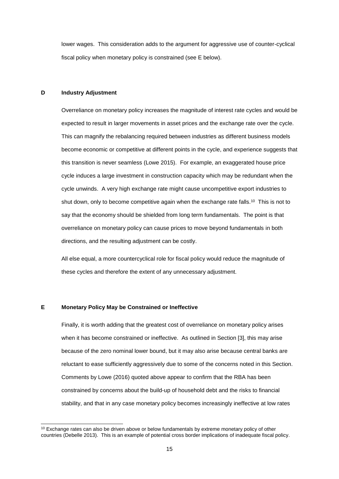lower wages. This consideration adds to the argument for aggressive use of counter-cyclical fiscal policy when monetary policy is constrained (see E below).

### **D Industry Adjustment**

Overreliance on monetary policy increases the magnitude of interest rate cycles and would be expected to result in larger movements in asset prices and the exchange rate over the cycle. This can magnify the rebalancing required between industries as different business models become economic or competitive at different points in the cycle, and experience suggests that this transition is never seamless (Lowe 2015). For example, an exaggerated house price cycle induces a large investment in construction capacity which may be redundant when the cycle unwinds. A very high exchange rate might cause uncompetitive export industries to shut down, only to become competitive again when the exchange rate falls.<sup>10</sup> This is not to say that the economy should be shielded from long term fundamentals. The point is that overreliance on monetary policy can cause prices to move beyond fundamentals in both directions, and the resulting adjustment can be costly.

All else equal, a more countercyclical role for fiscal policy would reduce the magnitude of these cycles and therefore the extent of any unnecessary adjustment.

#### **E Monetary Policy May be Constrained or Ineffective**

1

Finally, it is worth adding that the greatest cost of overreliance on monetary policy arises when it has become constrained or ineffective. As outlined in Section [3], this may arise because of the zero nominal lower bound, but it may also arise because central banks are reluctant to ease sufficiently aggressively due to some of the concerns noted in this Section. Comments by Lowe (2016) quoted above appear to confirm that the RBA has been constrained by concerns about the build-up of household debt and the risks to financial stability, and that in any case monetary policy becomes increasingly ineffective at low rates

<sup>&</sup>lt;sup>10</sup> Exchange rates can also be driven above or below fundamentals by extreme monetary policy of other countries (Debelle 2013). This is an example of potential cross border implications of inadequate fiscal policy.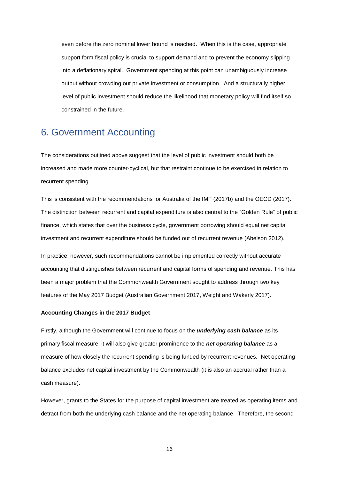even before the zero nominal lower bound is reached. When this is the case, appropriate support form fiscal policy is crucial to support demand and to prevent the economy slipping into a deflationary spiral. Government spending at this point can unambiguously increase output without crowding out private investment or consumption. And a structurally higher level of public investment should reduce the likelihood that monetary policy will find itself so constrained in the future.

### 6. Government Accounting

The considerations outlined above suggest that the level of public investment should both be increased and made more counter-cyclical, but that restraint continue to be exercised in relation to recurrent spending.

This is consistent with the recommendations for Australia of the IMF (2017b) and the OECD (2017). The distinction between recurrent and capital expenditure is also central to the "Golden Rule" of public finance, which states that over the business cycle, government borrowing should equal net capital investment and recurrent expenditure should be funded out of recurrent revenue (Abelson 2012).

In practice, however, such recommendations cannot be implemented correctly without accurate accounting that distinguishes between recurrent and capital forms of spending and revenue. This has been a major problem that the Commonwealth Government sought to address through two key features of the May 2017 Budget (Australian Government 2017, Weight and Wakerly 2017).

#### **Accounting Changes in the 2017 Budget**

Firstly, although the Government will continue to focus on the *underlying cash balance* as its primary fiscal measure, it will also give greater prominence to the *net operating balance* as a measure of how closely the recurrent spending is being funded by recurrent revenues. Net operating balance excludes net capital investment by the Commonwealth (it is also an accrual rather than a cash measure).

However, grants to the States for the purpose of capital investment are treated as operating items and detract from both the underlying cash balance and the net operating balance. Therefore, the second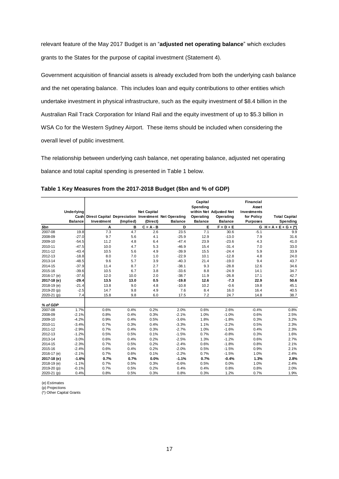relevant feature of the May 2017 Budget is an "**adjusted net operating balance**" which excludes grants to the States for the purpose of capital investment (Statement 4).

Government acquisition of financial assets is already excluded from both the underlying cash balance and the net operating balance. This includes loan and equity contributions to other entities which undertake investment in physical infrastructure, such as the equity investment of \$8.4 billion in the Australian Rail Track Corporation for Inland Rail and the equity investment of up to \$5.3 billion in WSA Co for the Western Sydney Airport. These items should be included when considering the overall level of public investment.

The relationship between underlying cash balance, net operating balance, adjusted net operating balance and total capital spending is presented in Table 1 below.

|             | Underlying<br>Cash |            |           | <b>Net Capital</b> | Direct Capital Depreciation Investment Net Operating | Capital<br>Spending<br>Operating | within Net Adjusted Net<br>Operating | <b>Financial</b><br>Asset<br>Investments<br>for Policy | <b>Total Capital</b>    |
|-------------|--------------------|------------|-----------|--------------------|------------------------------------------------------|----------------------------------|--------------------------------------|--------------------------------------------------------|-------------------------|
|             | <b>Balance</b>     | Investment | (Implied) | (Direct)           | <b>Balance</b>                                       | <b>Balance</b>                   | <b>Balance</b>                       | <b>Purposes</b>                                        | Spending                |
| \$bn        |                    | Α          | в         | $C = A - B$        | D                                                    | Е                                | $F = D + E$                          |                                                        | $G H = A + E + G + (*)$ |
| 2007-08     | 19.8               | 7.3        | 4.7       | 2.6                | 23.5                                                 | 7.1                              | 30.6                                 | $-5.1$                                                 | 9.9                     |
| 2008-09     | $-27.0$            | 9.7        | 5.6       | 4.1                | $-25.9$                                              | 12.9                             | $-13.0$                              | 7.9                                                    | 31.6                    |
| 2009-10     | $-54.5$            | 11.2       | 4.8       | 6.4                | $-47.4$                                              | 23.9                             | $-23.6$                              | 4.3                                                    | 41.0                    |
| 2010-11     | $-47.5$            | 10.0       | 4.7       | 5.3                | $-46.9$                                              | 15.4                             | $-31.4$                              | 7.0                                                    | 33.0                    |
| 2011-12     | $-43.4$            | 10.5       | 5.6       | 4.9                | $-39.9$                                              | 15.5                             | $-24.4$                              | 5.9                                                    | 33.9                    |
| 2012-13     | $-18.8$            | 8.0        | 7.0       | 1.0                | $-22.9$                                              | 10.1                             | $-12.8$                              | 4.8                                                    | 24.0                    |
| 2013-14     | $-48.5$            | 9.6        | 5.7       | 3.9                | $-40.3$                                              | 21.4                             | $-19.0$                              | 9.4                                                    | 43.7                    |
| 2014-15     | $-37.9$            | 11.4       | 8.7       | 2.7                | $-38.1$                                              | 9.3                              | $-28.8$                              | 12.6                                                   | 34.6                    |
| 2015-16     | $-39.6$            | 10.5       | 6.7       | 3.8                | $-33.6$                                              | 8.8                              | $-24.9$                              | 14.1                                                   | 34.7                    |
| 2016-17 (e) | $-37.6$            | 12.0       | 10.0      | 2.0                | $-38.7$                                              | 11.9                             | $-26.8$                              | 17.1                                                   | 42.7                    |
| 2017-18 (e) | $-29.4$            | 13.5       | 13.0      | 0.5                | $-19.8$                                              | 12.6                             | $-7.3$                               | 22.9                                                   | 50.6                    |
| 2018-19 (e) | $-21.4$            | 13.8       | 9.0       | 4.8                | $-10.8$                                              | 10.2                             | $-0.6$                               | 19.8                                                   | 45.1                    |
| 2019-20 (p) | $-2.5$             | 14.7       | 9.8       | 4.9                | 7.6                                                  | 8.4                              | 16.0                                 | 16.4                                                   | 40.5                    |
| 2020-21 (p) | 7.4                | 15.8       | 9.8       | 6.0                | 17.5                                                 | 7.2                              | 24.7                                 | 14.8                                                   | 38.7                    |
| % of GDP    |                    |            |           |                    |                                                      |                                  |                                      |                                                        |                         |
| 2007-08     | 1.7%               | 0.6%       | 0.4%      | 0.2%               | 2.0%                                                 | 0.6%                             | 2.6%                                 | $-0.4%$                                                | 0.8%                    |
| 2008-09     | $-2.1%$            | 0.8%       | 0.4%      | 0.3%               | $-2.1%$                                              | 1.0%                             | $-1.0%$                              | 0.6%                                                   | 2.5%                    |
| 2009-10     | $-4.2%$            | 0.9%       | 0.4%      | 0.5%               | $-3.6%$                                              | 1.8%                             | $-1.8%$                              | 0.3%                                                   | 3.2%                    |
| 2010-11     | $-3.4%$            | 0.7%       | 0.3%      | 0.4%               | $-3.3%$                                              | 1.1%                             | $-2.2%$                              | 0.5%                                                   | 2.3%                    |
| 2011-12     | $-2.9%$            | 0.7%       | 0.4%      | 0.3%               | $-2.7%$                                              | 1.0%                             | $-1.6%$                              | 0.4%                                                   | 2.3%                    |
| 2012-13     | $-1.2%$            | 0.5%       | 0.5%      | 0.1%               | $-1.5%$                                              | 0.7%                             | $-0.8%$                              | 0.3%                                                   | 1.6%                    |
| 2013-14     | $-3.0%$            | 0.6%       | 0.4%      | 0.2%               | $-2.5%$                                              | 1.3%                             | $-1.2%$                              | 0.6%                                                   | 2.7%                    |
| 2014-15     | $-2.3%$            | 0.7%       | 0.5%      | 0.2%               | $-2.4%$                                              | 0.6%                             | $-1.8%$                              | 0.8%                                                   | 2.1%                    |
| 2015-16     | $-2.4%$            | 0.6%       | 0.4%      | 0.2%               | $-2.0%$                                              | 0.5%                             | $-1.5%$                              | 0.9%                                                   | 2.1%                    |
| 2016-17 (e) | $-2.1%$            | 0.7%       | 0.6%      | 0.1%               | $-2.2%$                                              | 0.7%                             | $-1.5%$                              | 1.0%                                                   | 2.4%                    |
| 2017-18 (e) | $-1.6%$            | 0.7%       | 0.7%      | 0.0%               | $-1.1%$                                              | 0.7%                             | $-0.4%$                              | 1.3%                                                   | 2.8%                    |
| 2018-19 (e) | $-1.1%$            | 0.7%       | 0.5%      | 0.3%               | $-0.6%$                                              | 0.5%                             | 0.0%                                 | 1.0%                                                   | 2.4%                    |
| 2019-20 (p) | $-0.1%$            | 0.7%       | 0.5%      | 0.2%               | 0.4%                                                 | 0.4%                             | 0.8%                                 | 0.8%                                                   | 2.0%                    |
| 2020-21 (p) | 0.4%               | 0.8%       | 0.5%      | 0.3%               | 0.8%                                                 | 0.3%                             | 1.2%                                 | 0.7%                                                   | 1.9%                    |

**Table 1 Key Measures from the 2017-2018 Budget (\$bn and % of GDP)**

(e) Estimates

(p) Projections (\*) Other Capital Grants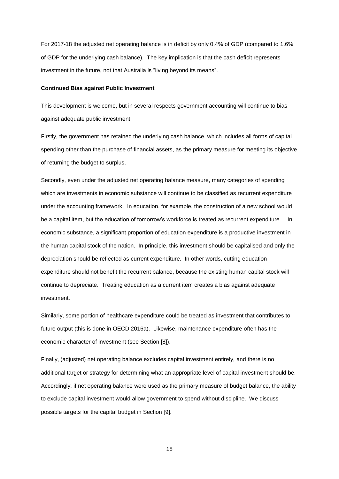For 2017-18 the adjusted net operating balance is in deficit by only 0.4% of GDP (compared to 1.6% of GDP for the underlying cash balance). The key implication is that the cash deficit represents investment in the future, not that Australia is "living beyond its means".

#### **Continued Bias against Public Investment**

This development is welcome, but in several respects government accounting will continue to bias against adequate public investment.

Firstly, the government has retained the underlying cash balance, which includes all forms of capital spending other than the purchase of financial assets, as the primary measure for meeting its objective of returning the budget to surplus.

Secondly, even under the adjusted net operating balance measure, many categories of spending which are investments in economic substance will continue to be classified as recurrent expenditure under the accounting framework. In education, for example, the construction of a new school would be a capital item, but the education of tomorrow's workforce is treated as recurrent expenditure. In economic substance, a significant proportion of education expenditure is a productive investment in the human capital stock of the nation. In principle, this investment should be capitalised and only the depreciation should be reflected as current expenditure. In other words, cutting education expenditure should not benefit the recurrent balance, because the existing human capital stock will continue to depreciate. Treating education as a current item creates a bias against adequate investment.

Similarly, some portion of healthcare expenditure could be treated as investment that contributes to future output (this is done in OECD 2016a). Likewise, maintenance expenditure often has the economic character of investment (see Section [8]).

Finally, (adjusted) net operating balance excludes capital investment entirely, and there is no additional target or strategy for determining what an appropriate level of capital investment should be. Accordingly, if net operating balance were used as the primary measure of budget balance, the ability to exclude capital investment would allow government to spend without discipline. We discuss possible targets for the capital budget in Section [9].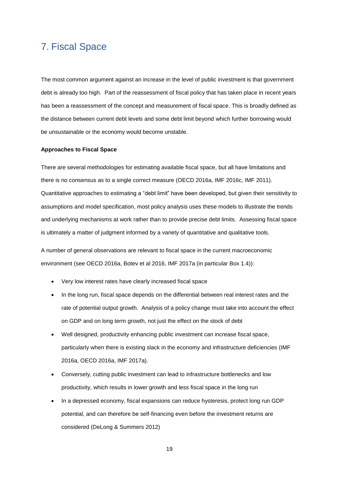### 7. Fiscal Space

The most common argument against an increase in the level of public investment is that government debt is already too high. Part of the reassessment of fiscal policy that has taken place in recent years has been a reassessment of the concept and measurement of fiscal space. This is broadly defined as the distance between current debt levels and some debt limit beyond which further borrowing would be unsustainable or the economy would become unstable.

#### **Approaches to Fiscal Space**

There are several methodologies for estimating available fiscal space, but all have limitations and there is no consensus as to a single correct measure (OECD 2016a, IMF 2016c, IMF 2011). Quantitative approaches to estimating a "debt limit" have been developed, but given their sensitivity to assumptions and model specification, most policy analysis uses these models to illustrate the trends and underlying mechanisms at work rather than to provide precise debt limits. Assessing fiscal space is ultimately a matter of judgment informed by a variety of quantitative and qualitative tools.

A number of general observations are relevant to fiscal space in the current macroeconomic environment (see OECD 2016a, Botev et al 2016, IMF 2017a (in particular Box 1.4)):

- Very low interest rates have clearly increased fiscal space
- In the long run, fiscal space depends on the differential between real interest rates and the rate of potential output growth. Analysis of a policy change must take into account the effect on GDP and on long term growth, not just the effect on the stock of debt
- Well designed, productivity enhancing public investment can increase fiscal space, particularly when there is existing slack in the economy and infrastructure deficiencies (IMF 2016a, OECD 2016a, IMF 2017a).
- Conversely, cutting public investment can lead to infrastructure bottlenecks and low productivity, which results in lower growth and less fiscal space in the long run
- In a depressed economy, fiscal expansions can reduce hysteresis, protect long run GDP potential, and can therefore be self-financing even before the investment returns are considered (DeLong & Summers 2012)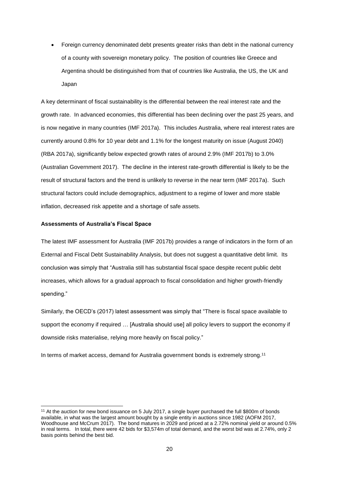• Foreign currency denominated debt presents greater risks than debt in the national currency of a county with sovereign monetary policy. The position of countries like Greece and Argentina should be distinguished from that of countries like Australia, the US, the UK and Japan

A key determinant of fiscal sustainability is the differential between the real interest rate and the growth rate. In advanced economies, this differential has been declining over the past 25 years, and is now negative in many countries (IMF 2017a). This includes Australia, where real interest rates are currently around 0.8% for 10 year debt and 1.1% for the longest maturity on issue (August 2040) (RBA 2017a), significantly below expected growth rates of around 2.9% (IMF 2017b) to 3.0% (Australian Government 2017). The decline in the interest rate-growth differential is likely to be the result of structural factors and the trend is unlikely to reverse in the near term (IMF 2017a). Such structural factors could include demographics, adjustment to a regime of lower and more stable inflation, decreased risk appetite and a shortage of safe assets.

#### **Assessments of Australia's Fiscal Space**

1

The latest IMF assessment for Australia (IMF 2017b) provides a range of indicators in the form of an External and Fiscal Debt Sustainability Analysis, but does not suggest a quantitative debt limit. Its conclusion was simply that "Australia still has substantial fiscal space despite recent public debt increases, which allows for a gradual approach to fiscal consolidation and higher growth-friendly spending."

Similarly, the OECD's (2017) latest assessment was simply that "There is fiscal space available to support the economy if required ... [Australia should use] all policy levers to support the economy if downside risks materialise, relying more heavily on fiscal policy."

In terms of market access, demand for Australia government bonds is extremely strong.<sup>11</sup>

<sup>11</sup> At the auction for new bond issuance on 5 July 2017, a single buyer purchased the full \$800m of bonds available, in what was the largest amount bought by a single entity in auctions since 1982 (AOFM 2017, Woodhouse and McCrum 2017). The bond matures in 2029 and priced at a 2.72% nominal yield or around 0.5% in real terms. In total, there were 42 bids for \$3,574m of total demand, and the worst bid was at 2.74%, only 2 basis points behind the best bid.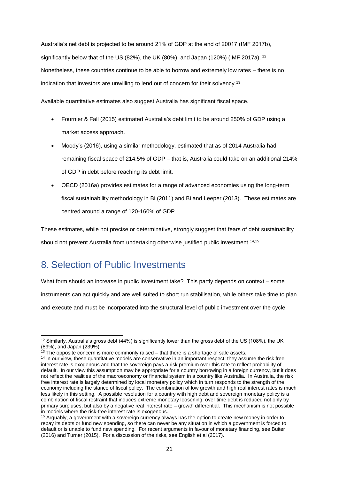Australia's net debt is projected to be around 21% of GDP at the end of 20017 (IMF 2017b), significantly below that of the US (82%), the UK (80%), and Japan (120%) (IMF 2017a).  $12$ Nonetheless, these countries continue to be able to borrow and extremely low rates – there is no indication that investors are unwilling to lend out of concern for their solvency.<sup>13</sup>

Available quantitative estimates also suggest Australia has significant fiscal space.

- Fournier & Fall (2015) estimated Australia's debt limit to be around 250% of GDP using a market access approach.
- Moody's (2016), using a similar methodology, estimated that as of 2014 Australia had remaining fiscal space of 214.5% of GDP – that is, Australia could take on an additional 214% of GDP in debt before reaching its debt limit.
- OECD (2016a) provides estimates for a range of advanced economies using the long-term fiscal sustainability methodology in Bi (2011) and Bi and Leeper (2013). These estimates are centred around a range of 120-160% of GDP.

These estimates, while not precise or determinative, strongly suggest that fears of debt sustainability should not prevent Australia from undertaking otherwise justified public investment.<sup>14,15</sup>

# 8. Selection of Public Investments

1

What form should an increase in public investment take? This partly depends on context – some instruments can act quickly and are well suited to short run stabilisation, while others take time to plan and execute and must be incorporated into the structural level of public investment over the cycle.

<sup>&</sup>lt;sup>12</sup> Similarly, Australia's gross debt (44%) is significantly lower than the gross debt of the US (108%), the UK (89%), and Japan (239%)

 $13$  The opposite concern is more commonly raised  $-$  that there is a shortage of safe assets.

<sup>&</sup>lt;sup>14</sup> In our view, these quantitative models are conservative in an important respect: they assume the risk free interest rate is exogenous and that the sovereign pays a risk premium over this rate to reflect probability of default. In our view this assumption may be appropriate for a country borrowing in a foreign currency, but it does not reflect the realities of the macroeconomy or financial system in a country like Australia. In Australia, the risk free interest rate is largely determined by local monetary policy which in turn responds to the strength of the economy including the stance of fiscal policy. The combination of low growth and high real interest rates is much less likely in this setting. A possible resolution for a country with high debt and sovereign monetary policy is a combination of fiscal restraint that induces extreme monetary loosening: over time debt is reduced not only by primary surpluses, but also by a negative real interest rate – growth differential. This mechanism is not possible in models where the risk-free interest rate is exogenous.

<sup>&</sup>lt;sup>15</sup> Arguably, a government with a sovereign currency always has the option to create new money in order to repay its debts or fund new spending, so there can never be any situation in which a government is forced to default or is unable to fund new spending. For recent arguments in favour of monetary financing, see Buiter (2016) and Turner (2015). For a discussion of the risks, see English et al (2017).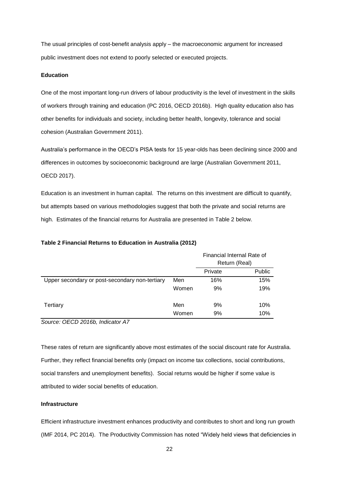The usual principles of cost-benefit analysis apply – the macroeconomic argument for increased public investment does not extend to poorly selected or executed projects.

### **Education**

One of the most important long-run drivers of labour productivity is the level of investment in the skills of workers through training and education (PC 2016, OECD 2016b). High quality education also has other benefits for individuals and society, including better health, longevity, tolerance and social cohesion (Australian Government 2011).

Australia's performance in the OECD's PISA tests for 15 year-olds has been declining since 2000 and differences in outcomes by socioeconomic background are large (Australian Government 2011, OECD 2017).

Education is an investment in human capital. The returns on this investment are difficult to quantify, but attempts based on various methodologies suggest that both the private and social returns are high. Estimates of the financial returns for Australia are presented in Table 2 below.

|                                                |       | Financial Internal Rate of<br>Return (Real) |               |  |
|------------------------------------------------|-------|---------------------------------------------|---------------|--|
|                                                |       | Private                                     | <b>Public</b> |  |
| Upper secondary or post-secondary non-tertiary | Men   | 16%                                         | 15%           |  |
|                                                | Women | 9%                                          | 19%           |  |
| Tertiary                                       | Men   | 9%                                          | 10%           |  |
|                                                | Women | 9%                                          | 10%           |  |

### **Table 2 Financial Returns to Education in Australia (2012)**

*Source: OECD 2016b, Indicator A7*

These rates of return are significantly above most estimates of the social discount rate for Australia. Further, they reflect financial benefits only (impact on income tax collections, social contributions, social transfers and unemployment benefits). Social returns would be higher if some value is attributed to wider social benefits of education.

### **Infrastructure**

Efficient infrastructure investment enhances productivity and contributes to short and long run growth (IMF 2014, PC 2014). The Productivity Commission has noted "Widely held views that deficiencies in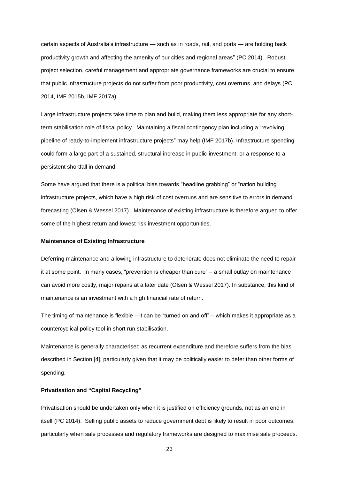certain aspects of Australia's infrastructure — such as in roads, rail, and ports — are holding back productivity growth and affecting the amenity of our cities and regional areas" (PC 2014). Robust project selection, careful management and appropriate governance frameworks are crucial to ensure that public infrastructure projects do not suffer from poor productivity, cost overruns, and delays (PC 2014, IMF 2015b, IMF 2017a).

Large infrastructure projects take time to plan and build, making them less appropriate for any shortterm stabilisation role of fiscal policy. Maintaining a fiscal contingency plan including a "revolving pipeline of ready-to-implement infrastructure projects" may help (IMF 2017b). Infrastructure spending could form a large part of a sustained, structural increase in public investment, or a response to a persistent shortfall in demand.

Some have argued that there is a political bias towards "headline grabbing" or "nation building" infrastructure projects, which have a high risk of cost overruns and are sensitive to errors in demand forecasting (Olsen & Wessel 2017). Maintenance of existing infrastructure is therefore argued to offer some of the highest return and lowest risk investment opportunities.

#### **Maintenance of Existing Infrastructure**

Deferring maintenance and allowing infrastructure to deteriorate does not eliminate the need to repair it at some point. In many cases, "prevention is cheaper than cure" – a small outlay on maintenance can avoid more costly, major repairs at a later date (Olsen & Wessel 2017). In substance, this kind of maintenance is an investment with a high financial rate of return.

The timing of maintenance is flexible – it can be "turned on and off" – which makes it appropriate as a countercyclical policy tool in short run stabilisation.

Maintenance is generally characterised as recurrent expenditure and therefore suffers from the bias described in Section [4], particularly given that it may be politically easier to defer than other forms of spending.

### **Privatisation and "Capital Recycling"**

Privatisation should be undertaken only when it is justified on efficiency grounds, not as an end in itself (PC 2014). Selling public assets to reduce government debt is likely to result in poor outcomes, particularly when sale processes and regulatory frameworks are designed to maximise sale proceeds.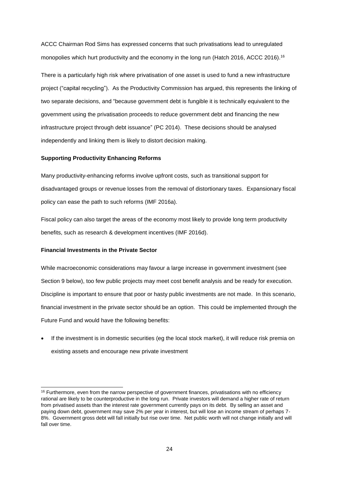ACCC Chairman Rod Sims has expressed concerns that such privatisations lead to unregulated monopolies which hurt productivity and the economy in the long run (Hatch 2016, ACCC 2016).<sup>16</sup>

There is a particularly high risk where privatisation of one asset is used to fund a new infrastructure project ("capital recycling"). As the Productivity Commission has argued, this represents the linking of two separate decisions, and "because government debt is fungible it is technically equivalent to the government using the privatisation proceeds to reduce government debt and financing the new infrastructure project through debt issuance" (PC 2014). These decisions should be analysed independently and linking them is likely to distort decision making.

### **Supporting Productivity Enhancing Reforms**

Many productivity-enhancing reforms involve upfront costs, such as transitional support for disadvantaged groups or revenue losses from the removal of distortionary taxes. Expansionary fiscal policy can ease the path to such reforms (IMF 2016a).

Fiscal policy can also target the areas of the economy most likely to provide long term productivity benefits, such as research & development incentives (IMF 2016d).

### **Financial Investments in the Private Sector**

-

While macroeconomic considerations may favour a large increase in government investment (see Section 9 below), too few public projects may meet cost benefit analysis and be ready for execution. Discipline is important to ensure that poor or hasty public investments are not made. In this scenario, financial investment in the private sector should be an option. This could be implemented through the Future Fund and would have the following benefits:

• If the investment is in domestic securities (eg the local stock market), it will reduce risk premia on existing assets and encourage new private investment

<sup>&</sup>lt;sup>16</sup> Furthermore, even from the narrow perspective of government finances, privatisations with no efficiency rational are likely to be counterproductive in the long run. Private investors will demand a higher rate of return from privatised assets than the interest rate government currently pays on its debt. By selling an asset and paying down debt, government may save 2% per year in interest, but will lose an income stream of perhaps 7- 8%. Government gross debt will fall initially but rise over time. Net public worth will not change initially and will fall over time.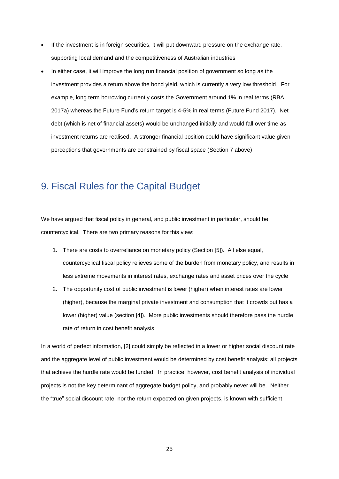- If the investment is in foreign securities, it will put downward pressure on the exchange rate, supporting local demand and the competitiveness of Australian industries
- In either case, it will improve the long run financial position of government so long as the investment provides a return above the bond yield, which is currently a very low threshold. For example, long term borrowing currently costs the Government around 1% in real terms (RBA 2017a) whereas the Future Fund's return target is 4-5% in real terms (Future Fund 2017). Net debt (which is net of financial assets) would be unchanged initially and would fall over time as investment returns are realised. A stronger financial position could have significant value given perceptions that governments are constrained by fiscal space (Section 7 above)

### 9. Fiscal Rules for the Capital Budget

We have argued that fiscal policy in general, and public investment in particular, should be countercyclical. There are two primary reasons for this view:

- 1. There are costs to overreliance on monetary policy (Section [5]). All else equal, countercyclical fiscal policy relieves some of the burden from monetary policy, and results in less extreme movements in interest rates, exchange rates and asset prices over the cycle
- 2. The opportunity cost of public investment is lower (higher) when interest rates are lower (higher), because the marginal private investment and consumption that it crowds out has a lower (higher) value (section [4]). More public investments should therefore pass the hurdle rate of return in cost benefit analysis

In a world of perfect information, [2] could simply be reflected in a lower or higher social discount rate and the aggregate level of public investment would be determined by cost benefit analysis: all projects that achieve the hurdle rate would be funded. In practice, however, cost benefit analysis of individual projects is not the key determinant of aggregate budget policy, and probably never will be. Neither the "true" social discount rate, nor the return expected on given projects, is known with sufficient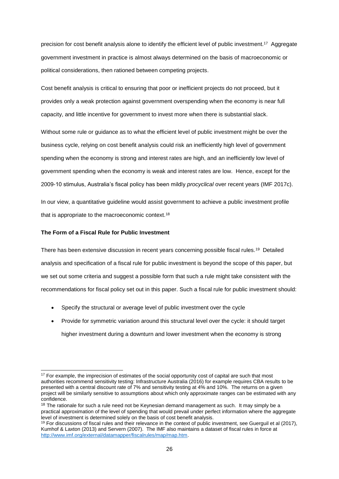precision for cost benefit analysis alone to identify the efficient level of public investment.<sup>17</sup> Aggregate government investment in practice is almost always determined on the basis of macroeconomic or political considerations, then rationed between competing projects.

Cost benefit analysis is critical to ensuring that poor or inefficient projects do not proceed, but it provides only a weak protection against government overspending when the economy is near full capacity, and little incentive for government to invest more when there is substantial slack.

Without some rule or guidance as to what the efficient level of public investment might be over the business cycle, relying on cost benefit analysis could risk an inefficiently high level of government spending when the economy is strong and interest rates are high, and an inefficiently low level of government spending when the economy is weak and interest rates are low. Hence, except for the 2009-10 stimulus, Australia's fiscal policy has been mildly *procyclical* over recent years (IMF 2017c).

In our view, a quantitative guideline would assist government to achieve a public investment profile that is appropriate to the macroeconomic context.<sup>18</sup>

### **The Form of a Fiscal Rule for Public Investment**

There has been extensive discussion in recent years concerning possible fiscal rules.<sup>19</sup> Detailed analysis and specification of a fiscal rule for public investment is beyond the scope of this paper, but we set out some criteria and suggest a possible form that such a rule might take consistent with the recommendations for fiscal policy set out in this paper. Such a fiscal rule for public investment should:

- Specify the structural or average level of public investment over the cycle
- Provide for symmetric variation around this structural level over the cycle: it should target higher investment during a downturn and lower investment when the economy is strong

<sup>-</sup><sup>17</sup> For example, the imprecision of estimates of the social opportunity cost of capital are such that most authorities recommend sensitivity testing: Infrastructure Australia (2016) for example requires CBA results to be presented with a central discount rate of 7% and sensitivity testing at 4% and 10%. The returns on a given project will be similarly sensitive to assumptions about which only approximate ranges can be estimated with any confidence.

<sup>&</sup>lt;sup>18</sup> The rationale for such a rule need not be Keynesian demand management as such. It may simply be a practical approximation of the level of spending that would prevail under perfect information where the aggregate level of investment is determined solely on the basis of cost benefit analysis.

 $19$  For discussions of fiscal rules and their relevance in the context of public investment, see Guerguil et al (2017), Kumhof & Laxton (2013) and Servern (2007). The IMF also maintains a dataset of fiscal rules in force at [http://www.imf.org/external/datamapper/fiscalrules/map/map.htm.](http://www.imf.org/external/datamapper/fiscalrules/map/map.htm)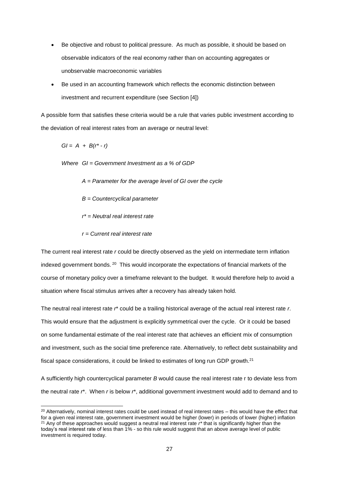- Be objective and robust to political pressure. As much as possible, it should be based on observable indicators of the real economy rather than on accounting aggregates or unobservable macroeconomic variables
- Be used in an accounting framework which reflects the economic distinction between investment and recurrent expenditure (see Section [4])

A possible form that satisfies these criteria would be a rule that varies public investment according to the deviation of real interest rates from an average or neutral level:

*GI = A + B(r\* - r)*

1

*Where GI = Government Investment as a % of GDP*

- *A = Parameter for the average level of GI over the cycle*
- *B = Countercyclical parameter*
- *r\* = Neutral real interest rate*
- *r = Current real interest rate*

The current real interest rate *r* could be directly observed as the yield on intermediate term inflation indexed government bonds.<sup>20</sup> This would incorporate the expectations of financial markets of the course of monetary policy over a timeframe relevant to the budget. It would therefore help to avoid a situation where fiscal stimulus arrives after a recovery has already taken hold.

The neutral real interest rate *r*\* could be a trailing historical average of the actual real interest rate *r*. This would ensure that the adjustment is explicitly symmetrical over the cycle. Or it could be based on some fundamental estimate of the real interest rate that achieves an efficient mix of consumption and investment, such as the social time preference rate. Alternatively, to reflect debt sustainability and fiscal space considerations, it could be linked to estimates of long run GDP growth.<sup>21</sup>

A sufficiently high countercyclical parameter *B* would cause the real interest rate r to deviate less from the neutral rate *r*\*. When *r* is below *r*\*, additional government investment would add to demand and to

 $20$  Alternatively, nominal interest rates could be used instead of real interest rates – this would have the effect that for a given real interest rate, government investment would be higher (lower) in periods of lower (higher) inflation <sup>21</sup> Any of these approaches would suggest a neutral real interest rate *r\** that is significantly higher than the today's real interest rate of less than 1% - so this rule would suggest that an above average level of public investment is required today.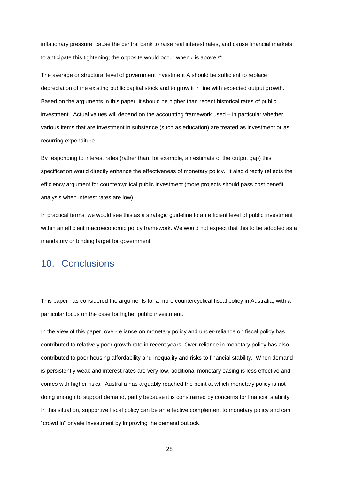inflationary pressure, cause the central bank to raise real interest rates, and cause financial markets to anticipate this tightening; the opposite would occur when *r* is above *r*\*.

The average or structural level of government investment A should be sufficient to replace depreciation of the existing public capital stock and to grow it in line with expected output growth. Based on the arguments in this paper, it should be higher than recent historical rates of public investment. Actual values will depend on the accounting framework used – in particular whether various items that are investment in substance (such as education) are treated as investment or as recurring expenditure.

By responding to interest rates (rather than, for example, an estimate of the output gap) this specification would directly enhance the effectiveness of monetary policy. It also directly reflects the efficiency argument for countercyclical public investment (more projects should pass cost benefit analysis when interest rates are low).

In practical terms, we would see this as a strategic guideline to an efficient level of public investment within an efficient macroeconomic policy framework. We would not expect that this to be adopted as a mandatory or binding target for government.

### 10. Conclusions

This paper has considered the arguments for a more countercyclical fiscal policy in Australia, with a particular focus on the case for higher public investment.

In the view of this paper, over-reliance on monetary policy and under-reliance on fiscal policy has contributed to relatively poor growth rate in recent years. Over-reliance in monetary policy has also contributed to poor housing affordability and inequality and risks to financial stability. When demand is persistently weak and interest rates are very low, additional monetary easing is less effective and comes with higher risks. Australia has arguably reached the point at which monetary policy is not doing enough to support demand, partly because it is constrained by concerns for financial stability. In this situation, supportive fiscal policy can be an effective complement to monetary policy and can "crowd in" private investment by improving the demand outlook.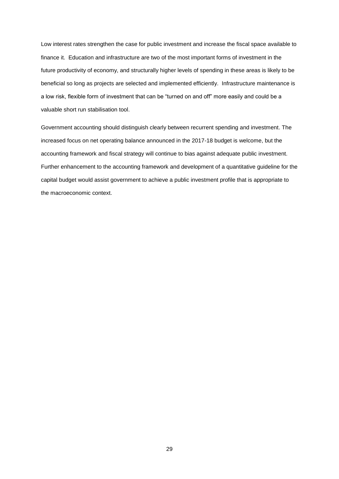Low interest rates strengthen the case for public investment and increase the fiscal space available to finance it. Education and infrastructure are two of the most important forms of investment in the future productivity of economy, and structurally higher levels of spending in these areas is likely to be beneficial so long as projects are selected and implemented efficiently. Infrastructure maintenance is a low risk, flexible form of investment that can be "turned on and off" more easily and could be a valuable short run stabilisation tool.

Government accounting should distinguish clearly between recurrent spending and investment. The increased focus on net operating balance announced in the 2017-18 budget is welcome, but the accounting framework and fiscal strategy will continue to bias against adequate public investment. Further enhancement to the accounting framework and development of a quantitative guideline for the capital budget would assist government to achieve a public investment profile that is appropriate to the macroeconomic context.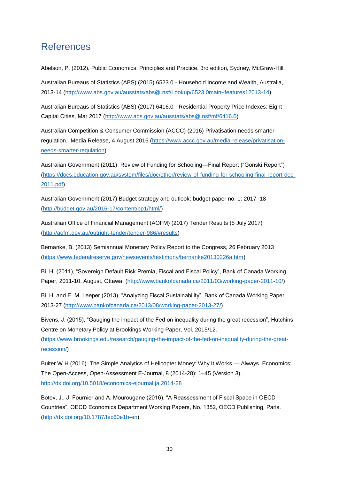## References

Abelson, P. (2012), Public Economics: Principles and Practice, 3rd edition, Sydney, McGraw‐Hill.

Australian Bureaus of Statistics (ABS) (2015) 6523.0 - Household Income and Wealth, Australia, 2013-14 [\(http://www.abs.gov.au/ausstats/abs@.nsf/Lookup/6523.0main+features12013-14\)](http://www.abs.gov.au/ausstats/abs@.nsf/Lookup/6523.0main+features12013-14)

Australian Bureaus of Statistics (ABS) (2017) 6416.0 - Residential Property Price Indexes: Eight Capital Cities, Mar 2017 [\(http://www.abs.gov.au/ausstats/abs@.nsf/mf/6416.0\)](http://www.abs.gov.au/ausstats/abs@.nsf/mf/6416.0)

Australian Competition & Consumer Commission (ACCC) (2016) Privatisation needs smarter regulation. Media Release, 4 August 2016 [\(https://www.accc.gov.au/media-release/privatisation](https://www.accc.gov.au/media-release/privatisation-needs-smarter-regulation)[needs-smarter-regulation\)](https://www.accc.gov.au/media-release/privatisation-needs-smarter-regulation)

Australian Government (2011) Review of Funding for Schooling—Final Report ("Gonski Report") [\(https://docs.education.gov.au/system/files/doc/other/review-of-funding-for-schooling-final-report-dec-](https://docs.education.gov.au/system/files/doc/other/review-of-funding-for-schooling-final-report-dec-2011.pdf)[2011.pdf\)](https://docs.education.gov.au/system/files/doc/other/review-of-funding-for-schooling-final-report-dec-2011.pdf)

Australian Government (2017) Budget strategy and outlook: budget paper no. 1: 2017–18 [\(http://budget.gov.au/2016-17/content/bp1/html/\)](http://budget.gov.au/2016-17/content/bp1/html/)

Australian Office of Financial Management (AOFM) (2017) Tender Results (5 July 2017) [\(http://aofm.gov.au/outright-tender/tender-986/#results\)](http://aofm.gov.au/outright-tender/tender-986/#results)

Bernanke, B. (2013) Semiannual Monetary Policy Report to the Congress, 26 February 2013 [\(https://www.federalreserve.gov/newsevents/testimony/bernanke20130226a.htm\)](https://www.federalreserve.gov/newsevents/testimony/bernanke20130226a.htm)

Bi, H. (2011), "Sovereign Default Risk Premia, Fiscal and Fiscal Policy", Bank of Canada Working Paper, 2011-10, August, Ottawa. [\(http://www.bankofcanada.ca/2011/03/working-paper-2011-10/\)](http://www.bankofcanada.ca/2011/03/working-paper-2011-10/)

Bi, H. and E. M. Leeper (2013), "Analyzing Fiscal Sustainability", Bank of Canada Working Paper, 2013-27 [\(http://www.bankofcanada.ca/2013/08/working-paper-2013-27/\)](http://www.bankofcanada.ca/2013/08/working-paper-2013-27/)

Bivens, J. (2015), "Gauging the impact of the Fed on inequality during the great recession", Hutchins Centre on Monetary Policy at Brookings Working Paper, Vol. 2015/12. [\(https://www.brookings.edu/research/gauging-the-impact-of-the-fed-on-inequality-during-the-great-](https://www.brookings.edu/research/gauging-the-impact-of-the-fed-on-inequality-during-the-great-recession/)

[recession/\)](https://www.brookings.edu/research/gauging-the-impact-of-the-fed-on-inequality-during-the-great-recession/)

Buiter W H (2016). The Simple Analytics of Helicopter Money: Why It Works — Always. Economics: The Open-Access, Open-Assessment E-Journal, 8 (2014-28): 1–45 (Version 3). <http://dx.doi.org/10.5018/economics-ejournal.ja.2014-28>

Botev, J., J. Fournier and A. Mourougane (2016), "A Reassessment of Fiscal Space in OECD Countries", OECD Economics Department Working Papers, No. 1352, OECD Publishing, Paris. [\(http://dx.doi.org/10.1787/fec60e1b-en\)](http://dx.doi.org/10.1787/fec60e1b-en)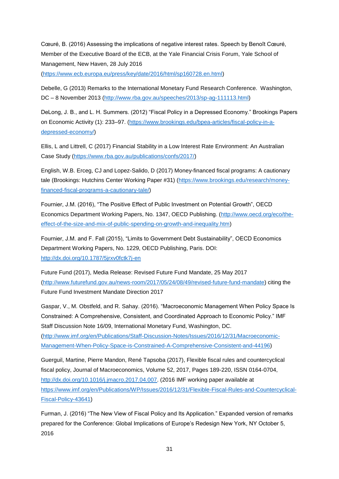Cœuré, B. (2016) Assessing the implications of negative interest rates. Speech by Benoît Cœuré, Member of the Executive Board of the ECB, at the Yale Financial Crisis Forum, Yale School of Management, New Haven, 28 July 2016

[\(https://www.ecb.europa.eu/press/key/date/2016/html/sp160728.en.html\)](https://www.ecb.europa.eu/press/key/date/2016/html/sp160728.en.html)

Debelle, G (2013) Remarks to the International Monetary Fund Research Conference. Washington, DC – 8 November 2013 [\(http://www.rba.gov.au/speeches/2013/sp-ag-111113.html\)](http://www.rba.gov.au/speeches/2013/sp-ag-111113.html)

DeLong, J. B., and L. H. Summers. (2012) "Fiscal Policy in a Depressed Economy." Brookings Papers on Economic Activity (1): 233–97. [\(https://www.brookings.edu/bpea-articles/fiscal-policy-in-a](https://www.brookings.edu/bpea-articles/fiscal-policy-in-a-depressed-economy/)[depressed-economy/\)](https://www.brookings.edu/bpea-articles/fiscal-policy-in-a-depressed-economy/)

Ellis, L and Littrell, C (2017) Financial Stability in a Low Interest Rate Environment: An Australian Case Study [\(https://www.rba.gov.au/publications/confs/2017/\)](https://www.rba.gov.au/publications/confs/2017/)

English, W.B. Erceg, CJ and Lopez-Salido, D (2017) Money-financed fiscal programs: A cautionary tale (Brookings: Hutchins Center Working Paper #31) [\(https://www.brookings.edu/research/money](https://www.brookings.edu/research/money-financed-fiscal-programs-a-cautionary-tale/)[financed-fiscal-programs-a-cautionary-tale/\)](https://www.brookings.edu/research/money-financed-fiscal-programs-a-cautionary-tale/)

Fournier, J.M. (2016), "The Positive Effect of Public Investment on Potential Growth", OECD Economics Department Working Papers, No. 1347, OECD Publishing. [\(http://www.oecd.org/eco/the](http://www.oecd.org/eco/the-effect-of-the-size-and-mix-of-public-spending-on-growth-and-inequality.htm)[effect-of-the-size-and-mix-of-public-spending-on-growth-and-inequality.htm\)](http://www.oecd.org/eco/the-effect-of-the-size-and-mix-of-public-spending-on-growth-and-inequality.htm)

Fournier, J.M. and F. Fall (2015), "Limits to Government Debt Sustainability", OECD Economics Department Working Papers, No. 1229, OECD Publishing, Paris. DOI: <http://dx.doi.org/10.1787/5jrxv0fctk7j-en>

Future Fund (2017), Media Release: Revised Future Fund Mandate, 25 May 2017 [\(http://www.futurefund.gov.au/news-room/2017/05/24/08/49/revised-future-fund-mandate\)](http://www.futurefund.gov.au/news-room/2017/05/24/08/49/revised-future-fund-mandate) citing the Future Fund Investment Mandate Direction 2017

Gaspar, V., M. Obstfeld, and R. Sahay. (2016). "Macroeconomic Management When Policy Space Is Constrained: A Comprehensive, Consistent, and Coordinated Approach to Economic Policy." IMF Staff Discussion Note 16/09, International Monetary Fund, Washington, DC.

[\(http://www.imf.org/en/Publications/Staff-Discussion-Notes/Issues/2016/12/31/Macroeconomic-](http://www.imf.org/en/Publications/Staff-Discussion-Notes/Issues/2016/12/31/Macroeconomic-Management-When-Policy-Space-is-Constrained-A-Comprehensive-Consistent-and-44196)[Management-When-Policy-Space-is-Constrained-A-Comprehensive-Consistent-and-44196\)](http://www.imf.org/en/Publications/Staff-Discussion-Notes/Issues/2016/12/31/Macroeconomic-Management-When-Policy-Space-is-Constrained-A-Comprehensive-Consistent-and-44196)

Guerguil, Martine, Pierre Mandon, René Tapsoba (2017), Flexible fiscal rules and countercyclical fiscal policy, Journal of Macroeconomics, Volume 52, 2017, Pages 189-220, ISSN 0164-0704, [http://dx.doi.org/10.1016/j.jmacro.2017.04.007.](http://dx.doi.org/10.1016/j.jmacro.2017.04.007) (2016 IMF working paper available at [https://www.imf.org/en/Publications/WP/Issues/2016/12/31/Flexible-Fiscal-Rules-and-Countercyclical-](https://www.imf.org/en/Publications/WP/Issues/2016/12/31/Flexible-Fiscal-Rules-and-Countercyclical-Fiscal-Policy-43641)[Fiscal-Policy-43641\)](https://www.imf.org/en/Publications/WP/Issues/2016/12/31/Flexible-Fiscal-Rules-and-Countercyclical-Fiscal-Policy-43641)

Furman, J. (2016) "The New View of Fiscal Policy and Its Application." Expanded version of remarks prepared for the Conference: Global Implications of Europe's Redesign New York, NY October 5, 2016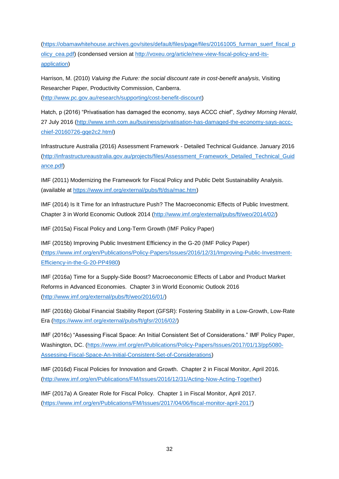[\(https://obamawhitehouse.archives.gov/sites/default/files/page/files/20161005\\_furman\\_suerf\\_fiscal\\_p](https://obamawhitehouse.archives.gov/sites/default/files/page/files/20161005_furman_suerf_fiscal_policy_cea.pdf) [olicy\\_cea.pdf\)](https://obamawhitehouse.archives.gov/sites/default/files/page/files/20161005_furman_suerf_fiscal_policy_cea.pdf) (condensed version at [http://voxeu.org/article/new-view-fiscal-policy-and-its](http://voxeu.org/article/new-view-fiscal-policy-and-its-application)[application\)](http://voxeu.org/article/new-view-fiscal-policy-and-its-application)

Harrison, M. (2010) *Valuing the Future: the social discount rate in cost-benefit analysis,* Visiting Researcher Paper, Productivity Commission, Canberra. [\(http://www.pc.gov.au/research/supporting/cost-benefit-discount\)](http://www.pc.gov.au/research/supporting/cost-benefit-discount)

Hatch, p (2016) "Privatisation has damaged the economy, says ACCC chief", *Sydney Morning Herald*, 27 July 2016 [\(http://www.smh.com.au/business/privatisation-has-damaged-the-economy-says-accc](http://www.smh.com.au/business/privatisation-has-damaged-the-economy-says-accc-chief-20160726-gqe2c2.html)[chief-20160726-gqe2c2.html\)](http://www.smh.com.au/business/privatisation-has-damaged-the-economy-says-accc-chief-20160726-gqe2c2.html)

Infrastructure Australia (2016) Assessment Framework - Detailed Technical Guidance. January 2016 [\(http://infrastructureaustralia.gov.au/projects/files/Assessment\\_Framework\\_Detailed\\_Technical\\_Guid](http://infrastructureaustralia.gov.au/projects/files/Assessment_Framework_Detailed_Technical_Guidance.pdf) [ance.pdf\)](http://infrastructureaustralia.gov.au/projects/files/Assessment_Framework_Detailed_Technical_Guidance.pdf)

IMF (2011) Modernizing the Framework for Fiscal Policy and Public Debt Sustainability Analysis. (available at [https://www.imf.org/external/pubs/ft/dsa/mac.htm\)](https://www.imf.org/external/pubs/ft/dsa/mac.htm)

IMF (2014) Is It Time for an Infrastructure Push? The Macroeconomic Effects of Public Investment. Chapter 3 in World Economic Outlook 2014 [\(http://www.imf.org/external/pubs/ft/weo/2014/02/\)](http://www.imf.org/external/pubs/ft/weo/2014/02/)

IMF (2015a) Fiscal Policy and Long-Term Growth (IMF Policy Paper)

IMF (2015b) Improving Public Investment Efficiency in the G-20 (IMF Policy Paper) [\(https://www.imf.org/en/Publications/Policy-Papers/Issues/2016/12/31/Improving-Public-Investment-](https://www.imf.org/en/Publications/Policy-Papers/Issues/2016/12/31/Improving-Public-Investment-Efficiency-in-the-G-20-PP4980)[Efficiency-in-the-G-20-PP4980\)](https://www.imf.org/en/Publications/Policy-Papers/Issues/2016/12/31/Improving-Public-Investment-Efficiency-in-the-G-20-PP4980)

IMF (2016a) Time for a Supply-Side Boost? Macroeconomic Effects of Labor and Product Market Reforms in Advanced Economies. Chapter 3 in World Economic Outlook 2016 [\(http://www.imf.org/external/pubs/ft/weo/2016/01/\)](http://www.imf.org/external/pubs/ft/weo/2016/01/)

IMF (2016b) Global Financial Stability Report (GFSR): Fostering Stability in a Low-Growth, Low-Rate Era [\(https://www.imf.org/external/pubs/ft/gfsr/2016/02/\)](https://www.imf.org/external/pubs/ft/gfsr/2016/02/)

IMF (2016c) "Assessing Fiscal Space: An Initial Consistent Set of Considerations." IMF Policy Paper, Washington, DC. [\(https://www.imf.org/en/Publications/Policy-Papers/Issues/2017/01/13/pp5080-](https://www.imf.org/en/Publications/Policy-Papers/Issues/2017/01/13/pp5080-Assessing-Fiscal-Space-An-Initial-Consistent-Set-of-Considerations) [Assessing-Fiscal-Space-An-Initial-Consistent-Set-of-Considerations\)](https://www.imf.org/en/Publications/Policy-Papers/Issues/2017/01/13/pp5080-Assessing-Fiscal-Space-An-Initial-Consistent-Set-of-Considerations)

IMF (2016d) Fiscal Policies for Innovation and Growth. Chapter 2 in Fiscal Monitor, April 2016. [\(http://www.imf.org/en/Publications/FM/Issues/2016/12/31/Acting-Now-Acting-Together\)](http://www.imf.org/en/Publications/FM/Issues/2016/12/31/Acting-Now-Acting-Together)

IMF (2017a) A Greater Role for Fiscal Policy. Chapter 1 in Fiscal Monitor, April 2017. [\(https://www.imf.org/en/Publications/FM/Issues/2017/04/06/fiscal-monitor-april-2017\)](https://www.imf.org/en/Publications/FM/Issues/2017/04/06/fiscal-monitor-april-2017)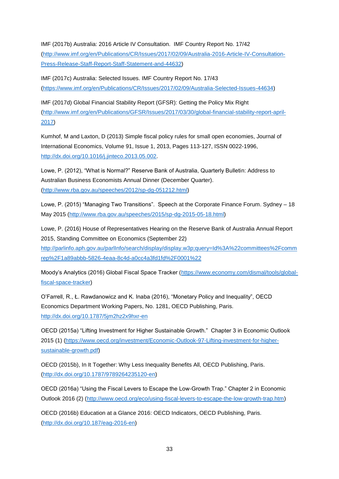IMF (2017b) Australia: 2016 Article IV Consultation. IMF Country Report No. 17/42

[\(http://www.imf.org/en/Publications/CR/Issues/2017/02/09/Australia-2016-Article-IV-Consultation-](http://www.imf.org/en/Publications/CR/Issues/2017/02/09/Australia-2016-Article-IV-Consultation-Press-Release-Staff-Report-Staff-Statement-and-44632)[Press-Release-Staff-Report-Staff-Statement-and-44632\)](http://www.imf.org/en/Publications/CR/Issues/2017/02/09/Australia-2016-Article-IV-Consultation-Press-Release-Staff-Report-Staff-Statement-and-44632)

IMF (2017c) Australia: Selected Issues. IMF Country Report No. 17/43 [\(https://www.imf.org/en/Publications/CR/Issues/2017/02/09/Australia-Selected-Issues-44634\)](https://www.imf.org/en/Publications/CR/Issues/2017/02/09/Australia-Selected-Issues-44634)

IMF (2017d) Global Financial Stability Report (GFSR): Getting the Policy Mix Right [\(http://www.imf.org/en/Publications/GFSR/Issues/2017/03/30/global-financial-stability-report-april-](http://www.imf.org/en/Publications/GFSR/Issues/2017/03/30/global-financial-stability-report-april-2017)[2017\)](http://www.imf.org/en/Publications/GFSR/Issues/2017/03/30/global-financial-stability-report-april-2017)

Kumhof, M and Laxton, D (2013) Simple fiscal policy rules for small open economies, Journal of International Economics, Volume 91, Issue 1, 2013, Pages 113-127, ISSN 0022-1996, [http://dx.doi.org/10.1016/j.jinteco.2013.05.002.](http://dx.doi.org/10.1016/j.jinteco.2013.05.002)

Lowe, P. (2012), "What is Normal?" Reserve Bank of Australia, Quarterly Bulletin: Address to Australian Business Economists Annual Dinner (December Quarter). [\(http://www.rba.gov.au/speeches/2012/sp-dg-051212.html\)](http://www.rba.gov.au/speeches/2012/sp-dg-051212.html)

Lowe, P. (2015) "Managing Two Transitions". Speech at the Corporate Finance Forum. Sydney – 18 May 2015 [\(http://www.rba.gov.au/speeches/2015/sp-dg-2015-05-18.html\)](http://www.rba.gov.au/speeches/2015/sp-dg-2015-05-18.html)

Lowe, P. (2016) House of Representatives Hearing on the Reserve Bank of Australia Annual Report 2015, Standing Committee on Economics (September 22)

[http://parlinfo.aph.gov.au/parlInfo/search/display/display.w3p;query=Id%3A%22committees%2Fcomm](http://parlinfo.aph.gov.au/parlInfo/search/display/display.w3p;query=Id%3A%22committees%2Fcommrep%2F1a89abbb-5826-4eaa-8c4d-a0cc4a3fd1fd%2F0001%22) [rep%2F1a89abbb-5826-4eaa-8c4d-a0cc4a3fd1fd%2F0001%22](http://parlinfo.aph.gov.au/parlInfo/search/display/display.w3p;query=Id%3A%22committees%2Fcommrep%2F1a89abbb-5826-4eaa-8c4d-a0cc4a3fd1fd%2F0001%22)

Moody's Analytics (2016) Global Fiscal Space Tracker [\(https://www.economy.com/dismal/tools/global](https://www.economy.com/dismal/tools/global-fiscal-space-tracker)[fiscal-space-tracker\)](https://www.economy.com/dismal/tools/global-fiscal-space-tracker)

O'Farrell, R., Ł. Rawdanowicz and K. Inaba (2016), "Monetary Policy and Inequality", OECD Economics Department Working Papers, No. 1281, OECD Publishing, Paris. <http://dx.doi.org/10.1787/5jm2hz2x9hxr-en>

OECD (2015a) "Lifting Investment for Higher Sustainable Growth." Chapter 3 in Economic Outlook 2015 (1) [\(https://www.oecd.org/investment/Economic-Outlook-97-Lifting-investment-for-higher](https://www.oecd.org/investment/Economic-Outlook-97-Lifting-investment-for-higher-sustainable-growth.pdf)[sustainable-growth.pdf\)](https://www.oecd.org/investment/Economic-Outlook-97-Lifting-investment-for-higher-sustainable-growth.pdf)

OECD (2015b), In It Together: Why Less Inequality Benefits All, OECD Publishing, Paris. [\(http://dx.doi.org/10.1787/9789264235120-en\)](http://dx.doi.org/10.1787/9789264235120-en)

OECD (2016a) "Using the Fiscal Levers to Escape the Low-Growth Trap." Chapter 2 in Economic Outlook 2016 (2) [\(http://www.oecd.org/eco/using-fiscal-levers-to-escape-the-low-growth-trap.htm\)](http://www.oecd.org/eco/using-fiscal-levers-to-escape-the-low-growth-trap.htm)

OECD (2016b) Education at a Glance 2016: OECD Indicators, OECD Publishing, Paris. [\(http://dx.doi.org/10.187/eag-2016-en\)](http://dx.doi.org/10.187/eag-2016-en)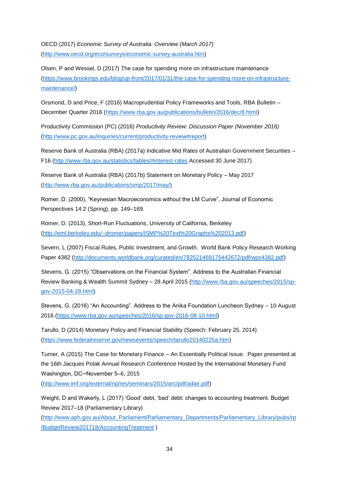OECD (2017) *Economic Survey of Australia: Overview (March 2017)*  [\(http://www.oecd.org/eco/surveys/economic-survey-australia.htm\)](http://www.oecd.org/eco/surveys/economic-survey-australia.htm)

Olsen, P and Wessel, D (2017) The case for spending more on infrastructure maintenance [\(https://www.brookings.edu/blog/up-front/2017/01/31/the-case-for-spending-more-on-infrastructure](https://www.brookings.edu/blog/up-front/2017/01/31/the-case-for-spending-more-on-infrastructure-maintenance/)[maintenance/\)](https://www.brookings.edu/blog/up-front/2017/01/31/the-case-for-spending-more-on-infrastructure-maintenance/)

Orsmond, D and Price, F (2016) Macroprudential Policy Frameworks and Tools, RBA Bulletin – December Quarter 2016 [\(https://www.rba.gov.au/publications/bulletin/2016/dec/8.html\)](https://www.rba.gov.au/publications/bulletin/2016/dec/8.html)

Productivity Commission (PC) (2016) *Productivity Review: Discussion Paper (November 2016)*  [\(http://www.pc.gov.au/inquiries/current/productivity-review#report\)](http://www.pc.gov.au/inquiries/current/productivity-review#report)

Reserve Bank of Australia (RBA) (2017a) Indicative Mid Rates of Australian Government Securities – F16 [\(http://www.rba.gov.au/statistics/tables/#interest-rates](http://www.rba.gov.au/statistics/tables/#interest-rates) Accessed 30 June 2017)

Reserve Bank of Australia (RBA) (2017b) Statement on Monetary Policy – May 2017 [\(http://www.rba.gov.au/publications/smp/2017/may/\)](http://www.rba.gov.au/publications/smp/2017/may/)

Romer, D. (2000), "Keynesian Macroeconomics without the LM Curve", Journal of Economic Perspectives 14:2 (Spring), pp. 149–169.

Romer, D. (2013), Short-Run Fluctuations, University of California, Berkeley [\(http://eml.berkeley.edu/~dromer/papers/ISMP%20Text%20Graphs%202013.pdf\)](http://eml.berkeley.edu/~dromer/papers/ISMP%20Text%20Graphs%202013.pdf)

Severn, L (2007) Fiscal Rules, Public Investment, and Growth. World Bank Policy Research Working Paper 4382 [\(http://documents.worldbank.org/curated/en/782521468175442672/pdf/wps4382.pdf\)](http://documents.worldbank.org/curated/en/782521468175442672/pdf/wps4382.pdf)

Stevens, G. (2015) "Observations on the Financial System". Address to the Australian Financial Review Banking & Wealth Summit Sydney – 28 April 2015 [\(http://www.rba.gov.au/speeches/2015/sp](http://www.rba.gov.au/speeches/2015/sp-gov-2015-04-28.html)[gov-2015-04-28.html\)](http://www.rba.gov.au/speeches/2015/sp-gov-2015-04-28.html)

Stevens, G. (2016) "An Accounting". Address to the Anika Foundation Luncheon Sydney – 10 August 2016 [\(https://www.rba.gov.au/speeches/2016/sp-gov-2016-08-10.html\)](https://www.rba.gov.au/speeches/2016/sp-gov-2016-08-10.html)

Tarullo, D (2014) Monetary Policy and Financial Stability (Speech: February 25, 2014) [\(https://www.federalreserve.gov/newsevents/speech/tarullo20140225a.htm\)](https://www.federalreserve.gov/newsevents/speech/tarullo20140225a.htm)

Turner, A (2015) The Case for Monetary Finance – An Essentially Political Issue. Paper presented at the 16th Jacques Polak Annual Research Conference Hosted by the International Monetary Fund Washington, DC─November 5–6, 2015

[\(http://www.imf.org/external/np/res/seminars/2015/arc/pdf/adair.pdf\)](http://www.imf.org/external/np/res/seminars/2015/arc/pdf/adair.pdf)

Weight, D and Wakerly, L (2017) 'Good' debt, 'bad' debt: changes to accounting treatment. Budget Review 2017–18 (Parliamentary Library)

[\(http://www.aph.gov.au/About\\_Parliament/Parliamentary\\_Departments/Parliamentary\\_Library/pubs/rp](http://www.aph.gov.au/About_Parliament/Parliamentary_Departments/Parliamentary_Library/pubs/rp/BudgetReview201718/AccountingTreatment) [/BudgetReview201718/AccountingTreatment](http://www.aph.gov.au/About_Parliament/Parliamentary_Departments/Parliamentary_Library/pubs/rp/BudgetReview201718/AccountingTreatment) )